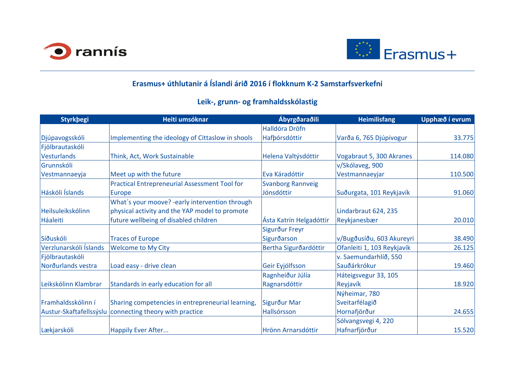| Styrkbegi              | Heiti umsóknar                                          | Ábyrgðaraðili            | <b>Heimilisfang</b>        | Upphæð í evrum |
|------------------------|---------------------------------------------------------|--------------------------|----------------------------|----------------|
|                        |                                                         | <b>Halldóra Dröfn</b>    |                            |                |
| Djúpavogsskóli         | Implementing the ideology of Cittaslow in shools        | Hafbórsdóttir            | Varða 6, 765 Djúpivogur    | 33.775         |
| Fjölbrautaskóli        |                                                         |                          |                            |                |
| Vesturlands            | Think, Act, Work Sustainable                            | Helena Valtýsdóttir      | Vogabraut 5, 300 Akranes   | 114.080        |
| Grunnskóli             |                                                         |                          | v/Skólaveg, 900            |                |
| Vestmannaeyja          | Meet up with the future                                 | Eva Káradóttir           | Vestmannaeyjar             | 110.500        |
|                        | <b>Practical Entrepreneurial Assessment Tool for</b>    | <b>Svanborg Rannveig</b> |                            |                |
| Háskóli Íslands        | Europe                                                  | Jónsdóttir               | Suðurgata, 101 Reykjavík   | 91.060         |
|                        | What's your moove? -early intervention through          |                          |                            |                |
| Heilsuleikskólinn      | physical activity and the YAP model to promote          |                          | Lindarbraut 624, 235       |                |
| Háaleiti               | future wellbeing of disabled children                   | Ásta Katrín Helgadóttir  | Reykjanesbær               | 20.010         |
|                        |                                                         | Sigurður Freyr           |                            |                |
| Síðuskóli              | <b>Traces of Europe</b>                                 | Sigurðarson              | v/Bugðusíðu, 603 Akureyri  | 38.490         |
| Verzlunarskóli Íslands | <b>Welcome to My City</b>                               | Bertha Sigurðardóttir    | Ofanleiti 1, 103 Reykjavík | 26.125         |
| Fjölbrautaskóli        |                                                         |                          | v. Saemundarhlíð, 550      |                |
| Norðurlands vestra     | Load easy - drive clean                                 | Geir Eyjólfsson          | Sauðárkrókur               | 19.460         |
|                        |                                                         | Ragnheiður Júlía         | Háteigsvegur 33, 105       |                |
| Leikskólinn Klambrar   | Standards in early education for all                    | Ragnarsdóttir            | Reyjavík                   | 18.920         |
|                        |                                                         |                          | Nýheimar, 780              |                |
| Framhaldsskólinn í     | Sharing competencies in entrepreneurial learning,       | Sigurður Mar             | Sveitarfélagið             |                |
|                        | Austur-Skaftafellssýslu connecting theory with practice | Hallsórsson              | Hornafjörður               | 24.655         |
|                        |                                                         |                          | Sólvangsvegi 4, 220        |                |
| Lækjarskóli            | Happily Ever After                                      | Hrönn Arnarsdóttir       | Hafnarfjörður              | 15.520         |





## **Erasmus+ úthlutanir á Íslandi árið 2016 í flokknum K-2 Samstarfsverkefni**

## **Leik-, grunn- og framhaldsskólastig**